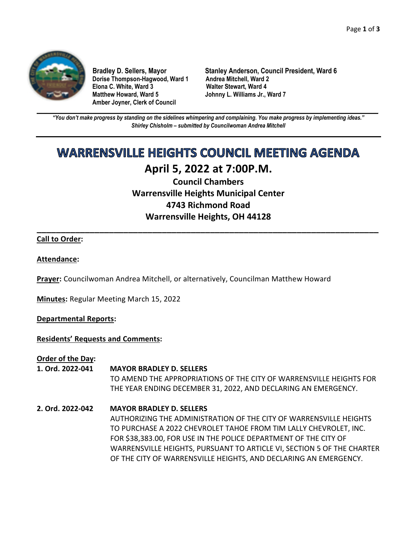

**Dorise Thompson-Hagwood, Ward 1 Andrea Mitchell, Ward 2 Elona C. White, Ward 3 Walter Stewart, Ward 4 Amber Joyner, Clerk of Council** 

**Bradley D. Sellers, Mayor Stanley Anderson, Council President, Ward 6 Johnny L. Williams Jr., Ward 7** 

**\_\_\_\_\_\_\_\_\_\_\_\_\_\_\_\_\_\_\_\_\_\_\_\_\_\_\_\_\_\_\_\_\_\_\_\_\_\_\_\_\_\_\_\_\_\_\_\_\_\_\_\_\_\_\_\_\_\_\_\_\_\_\_\_\_\_\_\_\_\_\_\_\_\_\_\_\_\_\_\_\_\_\_\_\_\_\_\_\_\_\_\_\_\_\_\_\_\_\_\_\_\_\_\_\_\_\_\_\_\_** *"You don't make progress by standing on the sidelines whimpering and complaining. You make progress by implementing ideas." Shirley Chisholm – submitted by Councilwoman Andrea Mitchell* 

# **WARRENSVILLE HEIGHTS COUNCIL MEETING AGENDA April 5, 2022 at 7:00P.M.**

**Council Chambers Warrensville Heights Municipal Center 4743 Richmond Road Warrensville Heights, OH 44128** 

**\_\_\_\_\_\_\_\_\_\_\_\_\_\_\_\_\_\_\_\_\_\_\_\_\_\_\_\_\_\_\_\_\_\_\_\_\_\_\_\_\_\_\_\_\_\_\_\_\_\_\_\_\_\_\_\_\_\_\_\_\_\_\_\_\_\_\_\_\_\_\_** 

# **Call to Order:**

## **Attendance:**

**Prayer:** Councilwoman Andrea Mitchell, or alternatively, Councilman Matthew Howard

**Minutes:** Regular Meeting March 15, 2022

#### **Departmental Reports:**

# **Residents' Requests and Comments:**

**Order of the Day:** 

#### **1. Ord. 2022-041 MAYOR BRADLEY D. SELLERS**

TO AMEND THE APPROPRIATIONS OF THE CITY OF WARRENSVILLE HEIGHTS FOR THE YEAR ENDING DECEMBER 31, 2022, AND DECLARING AN EMERGENCY.

**2. Ord. 2022-042 MAYOR BRADLEY D. SELLERS**  AUTHORIZING THE ADMINISTRATION OF THE CITY OF WARRENSVILLE HEIGHTS TO PURCHASE A 2022 CHEVROLET TAHOE FROM TIM LALLY CHEVROLET, INC. FOR \$38,383.00, FOR USE IN THE POLICE DEPARTMENT OF THE CITY OF WARRENSVILLE HEIGHTS, PURSUANT TO ARTICLE VI, SECTION 5 OF THE CHARTER OF THE CITY OF WARRENSVILLE HEIGHTS, AND DECLARING AN EMERGENCY.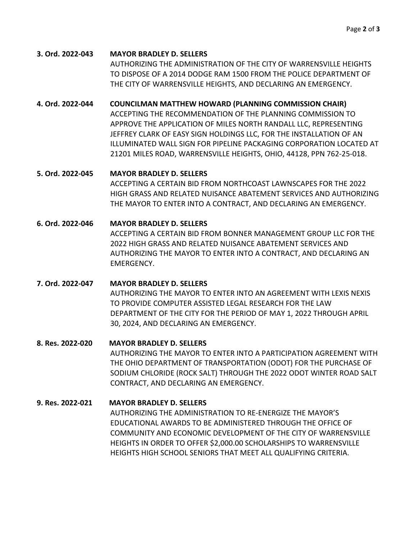**3. Ord. 2022-043 MAYOR BRADLEY D. SELLERS**  AUTHORIZING THE ADMINISTRATION OF THE CITY OF WARRENSVILLE HEIGHTS TO DISPOSE OF A 2014 DODGE RAM 1500 FROM THE POLICE DEPARTMENT OF THE CITY OF WARRENSVILLE HEIGHTS, AND DECLARING AN EMERGENCY.

**4. Ord. 2022-044 COUNCILMAN MATTHEW HOWARD (PLANNING COMMISSION CHAIR)**  ACCEPTING THE RECOMMENDATION OF THE PLANNING COMMISSION TO APPROVE THE APPLICATION OF MILES NORTH RANDALL LLC, REPRESENTING JEFFREY CLARK OF EASY SIGN HOLDINGS LLC, FOR THE INSTALLATION OF AN ILLUMINATED WALL SIGN FOR PIPELINE PACKAGING CORPORATION LOCATED AT 21201 MILES ROAD, WARRENSVILLE HEIGHTS, OHIO, 44128, PPN 762-25-018.

**5. Ord. 2022-045 MAYOR BRADLEY D. SELLERS**  ACCEPTING A CERTAIN BID FROM NORTHCOAST LAWNSCAPES FOR THE 2022 HIGH GRASS AND RELATED NUISANCE ABATEMENT SERVICES AND AUTHORIZING

**6. Ord. 2022-046 MAYOR BRADLEY D. SELLERS**  ACCEPTING A CERTAIN BID FROM BONNER MANAGEMENT GROUP LLC FOR THE 2022 HIGH GRASS AND RELATED NUISANCE ABATEMENT SERVICES AND AUTHORIZING THE MAYOR TO ENTER INTO A CONTRACT, AND DECLARING AN EMERGENCY.

THE MAYOR TO ENTER INTO A CONTRACT, AND DECLARING AN EMERGENCY.

# **7. Ord. 2022-047 MAYOR BRADLEY D. SELLERS**  AUTHORIZING THE MAYOR TO ENTER INTO AN AGREEMENT WITH LEXIS NEXIS TO PROVIDE COMPUTER ASSISTED LEGAL RESEARCH FOR THE LAW DEPARTMENT OF THE CITY FOR THE PERIOD OF MAY 1, 2022 THROUGH APRIL 30, 2024, AND DECLARING AN EMERGENCY.

**8. Res. 2022-020 MAYOR BRADLEY D. SELLERS**  AUTHORIZING THE MAYOR TO ENTER INTO A PARTICIPATION AGREEMENT WITH THE OHIO DEPARTMENT OF TRANSPORTATION (ODOT) FOR THE PURCHASE OF SODIUM CHLORIDE (ROCK SALT) THROUGH THE 2022 ODOT WINTER ROAD SALT CONTRACT, AND DECLARING AN EMERGENCY.

# **9. Res. 2022-021 MAYOR BRADLEY D. SELLERS**  AUTHORIZING THE ADMINISTRATION TO RE-ENERGIZE THE MAYOR'S EDUCATIONAL AWARDS TO BE ADMINISTERED THROUGH THE OFFICE OF COMMUNITY AND ECONOMIC DEVELOPMENT OF THE CITY OF WARRENSVILLE HEIGHTS IN ORDER TO OFFER \$2,000.00 SCHOLARSHIPS TO WARRENSVILLE HEIGHTS HIGH SCHOOL SENIORS THAT MEET ALL QUALIFYING CRITERIA.